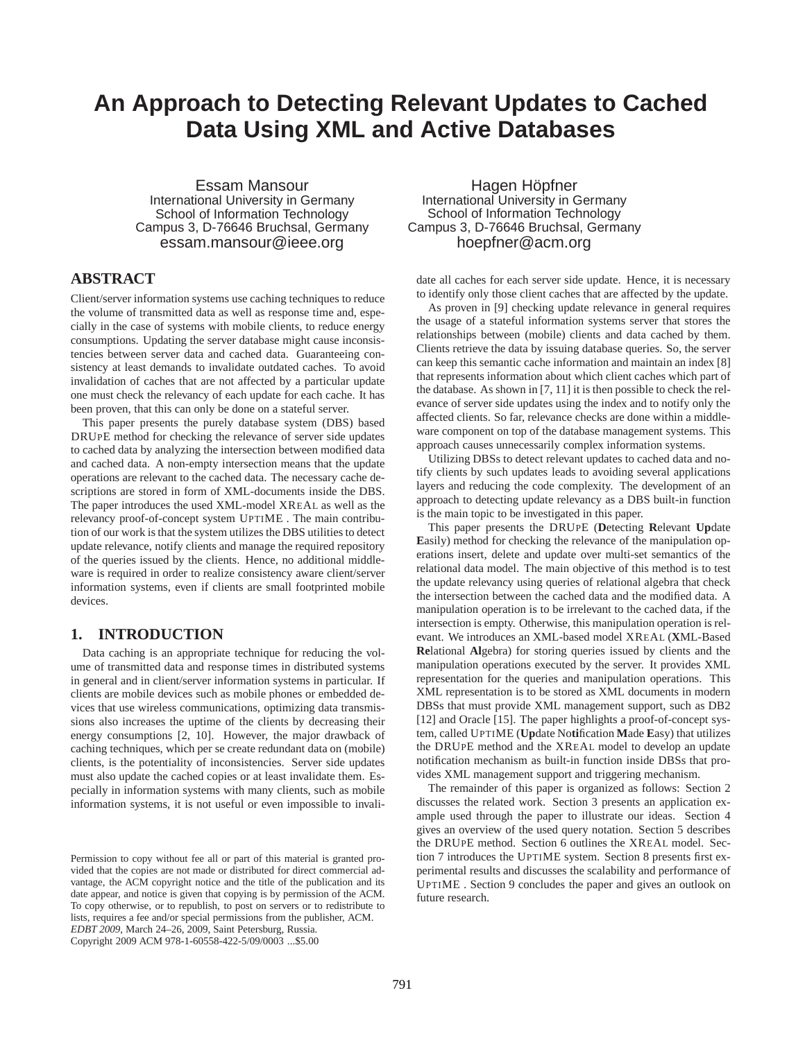# **An Approach to Detecting Relevant Updates to Cached Data Using XML and Active Databases**

Essam Mansour International University in Germany School of Information Technology Campus 3, D-76646 Bruchsal, Germany essam.mansour@ieee.org

## **ABSTRACT**

Client/server information systems use caching techniques to reduce the volume of transmitted data as well as response time and, especially in the case of systems with mobile clients, to reduce energy consumptions. Updating the server database might cause inconsistencies between server data and cached data. Guaranteeing consistency at least demands to invalidate outdated caches. To avoid invalidation of caches that are not affected by a particular update one must check the relevancy of each update for each cache. It has been proven, that this can only be done on a stateful server.

This paper presents the purely database system (DBS) based DRUPE method for checking the relevance of server side updates to cached data by analyzing the intersection between modified data and cached data. A non-empty intersection means that the update operations are relevant to the cached data. The necessary cache descriptions are stored in form of XML-documents inside the DBS. The paper introduces the used XML-model XREAL as well as the relevancy proof-of-concept system UPTIME . The main contribution of our work is that the system utilizes the DBS utilities to detect update relevance, notify clients and manage the required repository of the queries issued by the clients. Hence, no additional middleware is required in order to realize consistency aware client/server information systems, even if clients are small footprinted mobile devices.

## **1. INTRODUCTION**

Data caching is an appropriate technique for reducing the volume of transmitted data and response times in distributed systems in general and in client/server information systems in particular. If clients are mobile devices such as mobile phones or embedded devices that use wireless communications, optimizing data transmissions also increases the uptime of the clients by decreasing their energy consumptions [2, 10]. However, the major drawback of caching techniques, which per se create redundant data on (mobile) clients, is the potentiality of inconsistencies. Server side updates must also update the cached copies or at least invalidate them. Especially in information systems with many clients, such as mobile information systems, it is not useful or even impossible to invali-

Hagen Höpfner International University in Germany School of Information Technology Campus 3, D-76646 Bruchsal, Germany hoepfner@acm.org

date all caches for each server side update. Hence, it is necessary to identify only those client caches that are affected by the update.

As proven in [9] checking update relevance in general requires the usage of a stateful information systems server that stores the relationships between (mobile) clients and data cached by them. Clients retrieve the data by issuing database queries. So, the server can keep this semantic cache information and maintain an index [8] that represents information about which client caches which part of the database. As shown in [7, 11] it is then possible to check the relevance of server side updates using the index and to notify only the affected clients. So far, relevance checks are done within a middleware component on top of the database management systems. This approach causes unnecessarily complex information systems.

Utilizing DBSs to detect relevant updates to cached data and notify clients by such updates leads to avoiding several applications layers and reducing the code complexity. The development of an approach to detecting update relevancy as a DBS built-in function is the main topic to be investigated in this paper.

This paper presents the DRUPE (**D**etecting **R**elevant **Up**date **E**asily) method for checking the relevance of the manipulation operations insert, delete and update over multi-set semantics of the relational data model. The main objective of this method is to test the update relevancy using queries of relational algebra that check the intersection between the cached data and the modified data. A manipulation operation is to be irrelevant to the cached data, if the intersection is empty. Otherwise, this manipulation operation is relevant. We introduces an XML-based model XREAL (**X**ML-Based **Re**lational **Al**gebra) for storing queries issued by clients and the manipulation operations executed by the server. It provides XML representation for the queries and manipulation operations. This XML representation is to be stored as XML documents in modern DBSs that must provide XML management support, such as DB2 [12] and Oracle [15]. The paper highlights a proof-of-concept system, called UPTIME (**Up**date No**ti**fication **M**ade **E**asy) that utilizes the DRUPE method and the XREAL model to develop an update notification mechanism as built-in function inside DBSs that provides XML management support and triggering mechanism.

The remainder of this paper is organized as follows: Section 2 discusses the related work. Section 3 presents an application example used through the paper to illustrate our ideas. Section 4 gives an overview of the used query notation. Section 5 describes the DRUPE method. Section 6 outlines the XREAL model. Section 7 introduces the UPTIME system. Section 8 presents first experimental results and discusses the scalability and performance of UPTIME . Section 9 concludes the paper and gives an outlook on future research.

Permission to copy without fee all or part of this material is granted provided that the copies are not made or distributed for direct commercial advantage, the ACM copyright notice and the title of the publication and its date appear, and notice is given that copying is by permission of the ACM. To copy otherwise, or to republish, to post on servers or to redistribute to lists, requires a fee and/or special permissions from the publisher, ACM. *EDBT 2009*, March 24–26, 2009, Saint Petersburg, Russia. Copyright 2009 ACM 978-1-60558-422-5/09/0003 ...\$5.00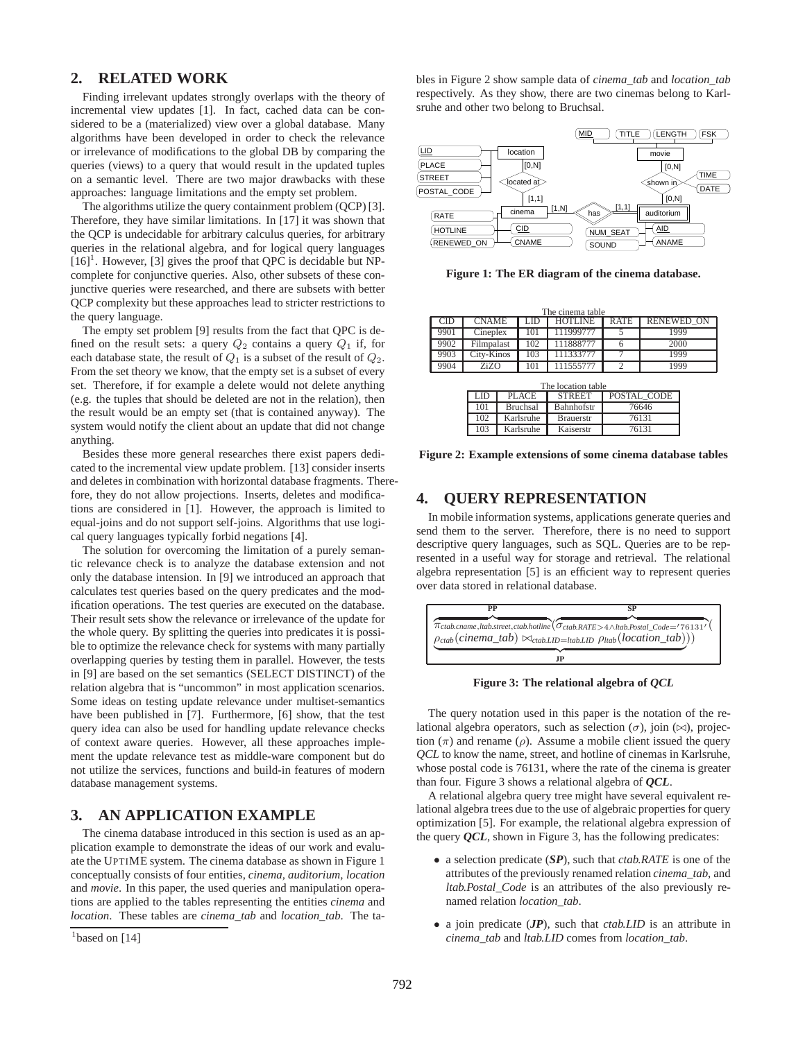## **2. RELATED WORK**

Finding irrelevant updates strongly overlaps with the theory of incremental view updates [1]. In fact, cached data can be considered to be a (materialized) view over a global database. Many algorithms have been developed in order to check the relevance or irrelevance of modifications to the global DB by comparing the queries (views) to a query that would result in the updated tuples on a semantic level. There are two major drawbacks with these approaches: language limitations and the empty set problem.

The algorithms utilize the query containment problem (QCP) [3]. Therefore, they have similar limitations. In [17] it was shown that the QCP is undecidable for arbitrary calculus queries, for arbitrary queries in the relational algebra, and for logical query languages  $[16]$ <sup>1</sup>. However, [3] gives the proof that QPC is decidable but NPcomplete for conjunctive queries. Also, other subsets of these conjunctive queries were researched, and there are subsets with better QCP complexity but these approaches lead to stricter restrictions to the query language.

The empty set problem [9] results from the fact that QPC is defined on the result sets: a query  $Q_2$  contains a query  $Q_1$  if, for each database state, the result of  $Q_1$  is a subset of the result of  $Q_2$ . From the set theory we know, that the empty set is a subset of every set. Therefore, if for example a delete would not delete anything (e.g. the tuples that should be deleted are not in the relation), then the result would be an empty set (that is contained anyway). The system would notify the client about an update that did not change anything.

Besides these more general researches there exist papers dedicated to the incremental view update problem. [13] consider inserts and deletes in combination with horizontal database fragments. Therefore, they do not allow projections. Inserts, deletes and modifications are considered in [1]. However, the approach is limited to equal-joins and do not support self-joins. Algorithms that use logical query languages typically forbid negations [4].

The solution for overcoming the limitation of a purely semantic relevance check is to analyze the database extension and not only the database intension. In [9] we introduced an approach that calculates test queries based on the query predicates and the modification operations. The test queries are executed on the database. Their result sets show the relevance or irrelevance of the update for the whole query. By splitting the queries into predicates it is possible to optimize the relevance check for systems with many partially overlapping queries by testing them in parallel. However, the tests in [9] are based on the set semantics (SELECT DISTINCT) of the relation algebra that is "uncommon" in most application scenarios. Some ideas on testing update relevance under multiset-semantics have been published in [7]. Furthermore, [6] show, that the test query idea can also be used for handling update relevance checks of context aware queries. However, all these approaches implement the update relevance test as middle-ware component but do not utilize the services, functions and build-in features of modern database management systems.

## **3. AN APPLICATION EXAMPLE**

The cinema database introduced in this section is used as an application example to demonstrate the ideas of our work and evaluate the UPTIME system. The cinema database as shown in Figure 1 conceptually consists of four entities, *cinema, auditorium, location* and *movie*. In this paper, the used queries and manipulation operations are applied to the tables representing the entities *cinema* and *location*. These tables are *cinema\_tab* and *location\_tab*. The ta-

<sup>1</sup>based on [14]

bles in Figure 2 show sample data of *cinema\_tab* and *location\_tab* respectively. As they show, there are two cinemas belong to Karlsruhe and other two belong to Bruchsal.



**Figure 1: The ER diagram of the cinema database.**

| The cinema table |              |     |                |             |                   |
|------------------|--------------|-----|----------------|-------------|-------------------|
| CID              | <b>CNAME</b> | LID | <b>HOTLINE</b> | <b>RATE</b> | <b>RENEWED ON</b> |
| 9901             | Cineplex     | 101 | 111999777      |             | 1999              |
| 9902             | Filmpalast   | 102 | 111888777      |             | 2000              |
| 9903             | City-Kinos   | 103 | 111333777      |             | 1999              |
| 9904             | <b>7.70</b>  | 101 | 111555777      |             | 1999              |

| The location table |                 |                  |             |
|--------------------|-----------------|------------------|-------------|
| LID                | PLACE           | <b>STREET</b>    | POSTAL CODE |
| 101                | <b>Bruchsal</b> | Bahnhofstr       | 76646       |
| 102                | Karlsruhe       | <b>Brauerstr</b> | 76131       |
| 103                | Karlsruhe       | Kaiserstr        | 76131       |

**Figure 2: Example extensions of some cinema database tables**

#### **4. QUERY REPRESENTATION**

In mobile information systems, applications generate queries and send them to the server. Therefore, there is no need to support descriptive query languages, such as SQL. Queries are to be represented in a useful way for storage and retrieval. The relational algebra representation [5] is an efficient way to represent queries over data stored in relational database.



**Figure 3: The relational algebra of** *QCL*

The query notation used in this paper is the notation of the relational algebra operators, such as selection  $(σ)$ , join  $(∞)$ , projection  $(\pi)$  and rename  $(\rho)$ . Assume a mobile client issued the query *QCL* to know the name, street, and hotline of cinemas in Karlsruhe, whose postal code is 76131, where the rate of the cinema is greater than four. Figure 3 shows a relational algebra of *QCL*.

A relational algebra query tree might have several equivalent relational algebra trees due to the use of algebraic properties for query optimization [5]. For example, the relational algebra expression of the query *QCL*, shown in Figure 3, has the following predicates:

- a selection predicate (*SP*), such that *ctab.RATE* is one of the attributes of the previously renamed relation *cinema\_tab*, and *ltab.Postal\_Code* is an attributes of the also previously renamed relation *location\_tab*.
- a join predicate (*JP*), such that *ctab.LID* is an attribute in *cinema\_tab* and *ltab.LID* comes from *location\_tab*.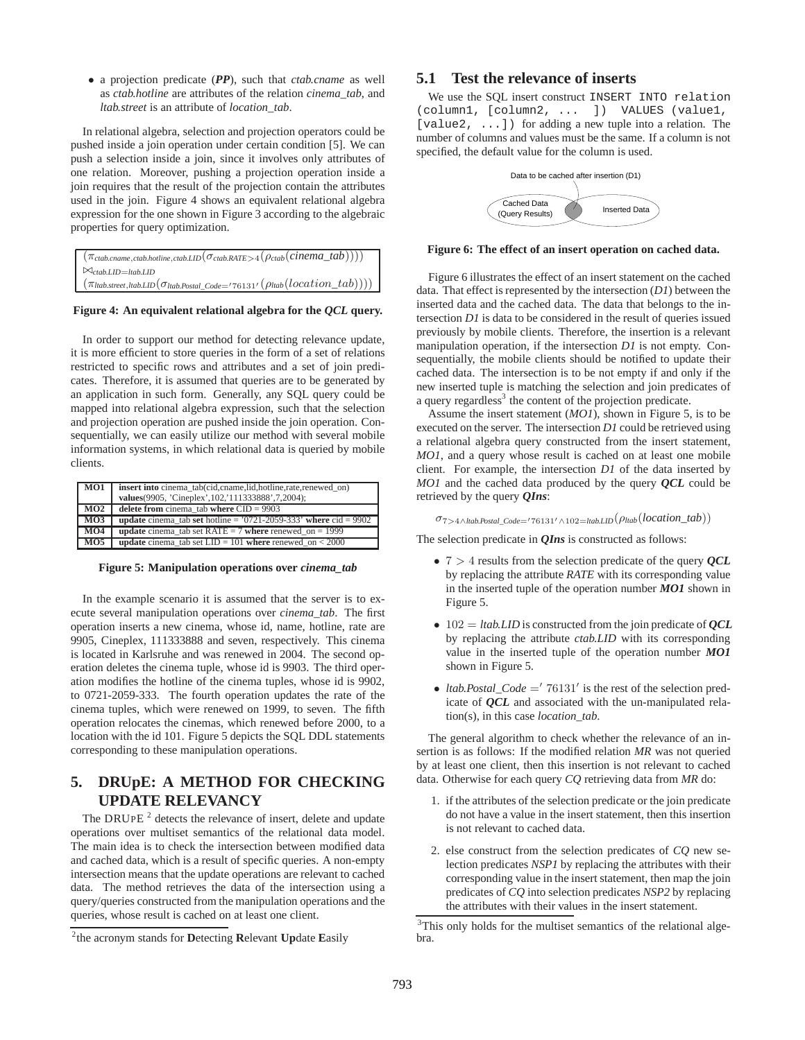• a projection predicate (*PP*), such that *ctab.cname* as well as *ctab.hotline* are attributes of the relation *cinema\_tab*, and *ltab.street* is an attribute of *location\_tab*.

In relational algebra, selection and projection operators could be pushed inside a join operation under certain condition [5]. We can push a selection inside a join, since it involves only attributes of one relation. Moreover, pushing a projection operation inside a join requires that the result of the projection contain the attributes used in the join. Figure 4 shows an equivalent relational algebra expression for the one shown in Figure 3 according to the algebraic properties for query optimization.

| $(\pi_{ctab. \text{cname},ctab. \text{hotline},ctab. \text{LID}}(\sigma_{ctab. \text{RATE}>4}(\rho_{ctab}(cinem\overline{a\_tab}))))$ |
|---------------------------------------------------------------------------------------------------------------------------------------|
| $\bowtie$ <sub>ctab</sub> <i>LID</i> = <i>ltab LID</i>                                                                                |
| $(\pi_{\text{ltab.street, \text{ltab.}LID}}(\sigma_{\text{ltab.}Postal\_Code='76131'}(\rho_{\text{ltab}}(location\_tab))))$           |

#### **Figure 4: An equivalent relational algebra for the** *QCL* **query.**

In order to support our method for detecting relevance update, it is more efficient to store queries in the form of a set of relations restricted to specific rows and attributes and a set of join predicates. Therefore, it is assumed that queries are to be generated by an application in such form. Generally, any SQL query could be mapped into relational algebra expression, such that the selection and projection operation are pushed inside the join operation. Consequentially, we can easily utilize our method with several mobile information systems, in which relational data is queried by mobile clients.

| M <sub>01</sub> | <b>insert into</b> cinema tab(cid, cname, lid, hot line, rate, renewed on)<br>values(9905, 'Cineplex', 102, '111333888', 7, 2004); |  |
|-----------------|------------------------------------------------------------------------------------------------------------------------------------|--|
| MO2             | delete from cinema tab where $CID = 9903$                                                                                          |  |
| M <sub>03</sub> | <b>update</b> cinema tab set hotline = $'0721-2059-333'$ where cid = 9902                                                          |  |
| MO4             | <b>update</b> cinema tab set RATE = 7 where renewed on = 1999                                                                      |  |
| MO5             | <b>update</b> cinema tab set $LID = 101$ where renewed on < 2000                                                                   |  |

**Figure 5: Manipulation operations over** *cinema\_tab*

In the example scenario it is assumed that the server is to execute several manipulation operations over *cinema\_tab*. The first operation inserts a new cinema, whose id, name, hotline, rate are 9905, Cineplex, 111333888 and seven, respectively. This cinema is located in Karlsruhe and was renewed in 2004. The second operation deletes the cinema tuple, whose id is 9903. The third operation modifies the hotline of the cinema tuples, whose id is 9902, to 0721-2059-333. The fourth operation updates the rate of the cinema tuples, which were renewed on 1999, to seven. The fifth operation relocates the cinemas, which renewed before 2000, to a location with the id 101. Figure 5 depicts the SQL DDL statements corresponding to these manipulation operations.

# **5. DRUpE: A METHOD FOR CHECKING UPDATE RELEVANCY**

The DRUPE  $2$  detects the relevance of insert, delete and update operations over multiset semantics of the relational data model. The main idea is to check the intersection between modified data and cached data, which is a result of specific queries. A non-empty intersection means that the update operations are relevant to cached data. The method retrieves the data of the intersection using a query/queries constructed from the manipulation operations and the queries, whose result is cached on at least one client.

## **5.1 Test the relevance of inserts**

We use the SOL insert construct INSERT INTO relation (column1, [column2, ... ]) VALUES (value1, [value2, ...]) for adding a new tuple into a relation. The number of columns and values must be the same. If a column is not specified, the default value for the column is used.



**Figure 6: The effect of an insert operation on cached data.**

Figure 6 illustrates the effect of an insert statement on the cached data. That effect is represented by the intersection (*D1*) between the inserted data and the cached data. The data that belongs to the intersection *D1* is data to be considered in the result of queries issued previously by mobile clients. Therefore, the insertion is a relevant manipulation operation, if the intersection *D1* is not empty. Consequentially, the mobile clients should be notified to update their cached data. The intersection is to be not empty if and only if the new inserted tuple is matching the selection and join predicates of a query regardless<sup>3</sup> the content of the projection predicate.

Assume the insert statement (*MO1*), shown in Figure 5, is to be executed on the server. The intersection *D1* could be retrieved using a relational algebra query constructed from the insert statement, *MO1*, and a query whose result is cached on at least one mobile client. For example, the intersection *D1* of the data inserted by *MO1* and the cached data produced by the query *QCL* could be retrieved by the query *QIns*:

σ<sup>7</sup>>4∧*ltab.Postal\_Code*=′76131′∧102=*ltab.LID*(ρ*ltab*(*location\_tab*))

The selection predicate in *QIns* is constructed as follows:

- 7 > 4 results from the selection predicate of the query *QCL* by replacing the attribute *RATE* with its corresponding value in the inserted tuple of the operation number *MO1* shown in Figure 5.
- 102 = *ltab.LID* is constructed from the join predicate of *QCL* by replacing the attribute *ctab.LID* with its corresponding value in the inserted tuple of the operation number *MO1* shown in Figure 5.
- *ltab.Postal\_Code*  $=$  '76131' is the rest of the selection predicate of *QCL* and associated with the un-manipulated relation(s), in this case *location\_tab*.

The general algorithm to check whether the relevance of an insertion is as follows: If the modified relation *MR* was not queried by at least one client, then this insertion is not relevant to cached data. Otherwise for each query *CQ* retrieving data from *MR* do:

- 1. if the attributes of the selection predicate or the join predicate do not have a value in the insert statement, then this insertion is not relevant to cached data.
- 2. else construct from the selection predicates of *CQ* new selection predicates *NSP1* by replacing the attributes with their corresponding value in the insert statement, then map the join predicates of *CQ* into selection predicates *NSP2* by replacing the attributes with their values in the insert statement.

<sup>3</sup>This only holds for the multiset semantics of the relational algebra.

<sup>2</sup> the acronym stands for **D**etecting **R**elevant **Up**date **E**asily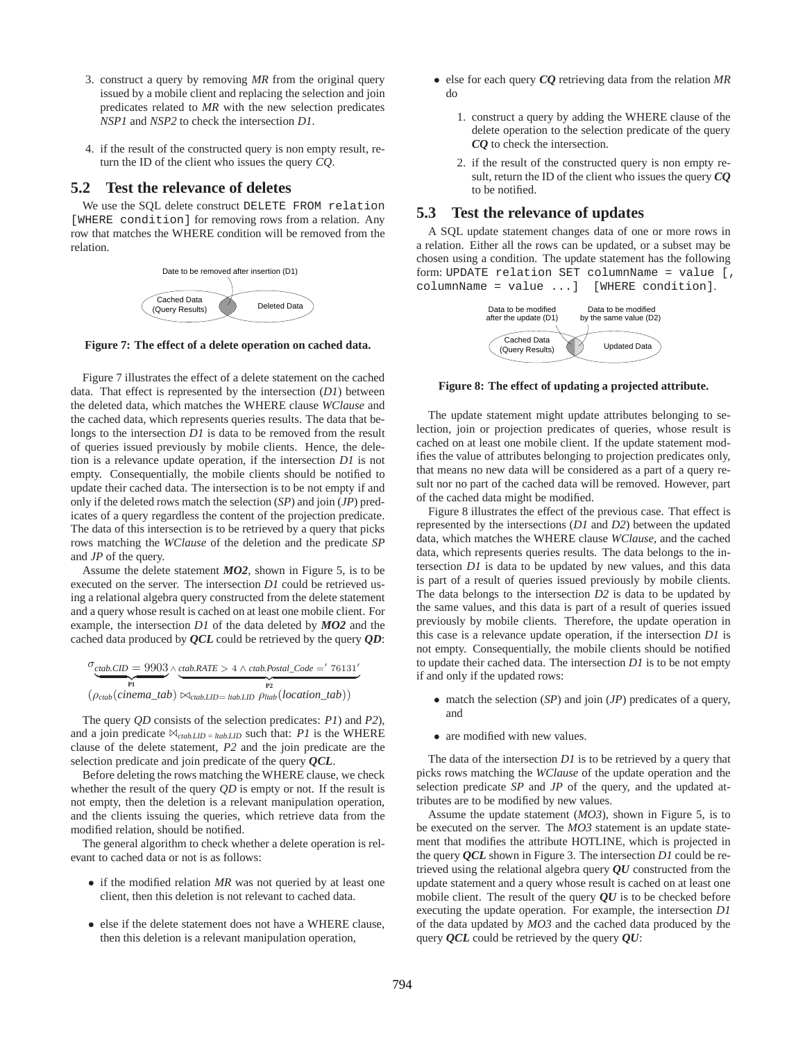- 3. construct a query by removing *MR* from the original query issued by a mobile client and replacing the selection and join predicates related to *MR* with the new selection predicates *NSP1* and *NSP2* to check the intersection *D1*.
- 4. if the result of the constructed query is non empty result, return the ID of the client who issues the query *CQ*.

## **5.2 Test the relevance of deletes**

We use the SQL delete construct DELETE FROM relation [WHERE condition] for removing rows from a relation. Any row that matches the WHERE condition will be removed from the relation.



**Figure 7: The effect of a delete operation on cached data.**

Figure 7 illustrates the effect of a delete statement on the cached data. That effect is represented by the intersection (*D1*) between the deleted data, which matches the WHERE clause *WClause* and the cached data, which represents queries results. The data that belongs to the intersection *D1* is data to be removed from the result of queries issued previously by mobile clients. Hence, the deletion is a relevance update operation, if the intersection *D1* is not empty. Consequentially, the mobile clients should be notified to update their cached data. The intersection is to be not empty if and only if the deleted rows match the selection (*SP*) and join (*JP*) predicates of a query regardless the content of the projection predicate. The data of this intersection is to be retrieved by a query that picks rows matching the *WClause* of the deletion and the predicate *SP* and *JP* of the query.

Assume the delete statement *MO2*, shown in Figure 5, is to be executed on the server. The intersection *D1* could be retrieved using a relational algebra query constructed from the delete statement and a query whose result is cached on at least one mobile client. For example, the intersection *D1* of the data deleted by *MO2* and the cached data produced by *QCL* could be retrieved by the query *QD*:

$$
\sigma_{\text{ctab.CID}} = 9903 \land \text{ctab.RATE} > 4 \land \text{ctab.Postal\_Code} = '76131'
$$
  

$$
(\rho_{\text{ctab}}(\text{cinema\_tab}) \bowtie_{\text{ctab.LID}} = \text{tab.LID} \rho_{\text{ltab}}(\text{location\_tab})
$$

The query *QD* consists of the selection predicates: *P1*) and *P2*), and a join predicate  $\mathbb{M}_{ctab,LID}$  =  $_{ltab,LID}$  such that: *P1* is the WHERE clause of the delete statement, *P2* and the join predicate are the selection predicate and join predicate of the query *QCL*.

Before deleting the rows matching the WHERE clause, we check whether the result of the query *QD* is empty or not. If the result is not empty, then the deletion is a relevant manipulation operation, and the clients issuing the queries, which retrieve data from the modified relation, should be notified.

The general algorithm to check whether a delete operation is relevant to cached data or not is as follows:

- if the modified relation *MR* was not queried by at least one client, then this deletion is not relevant to cached data.
- else if the delete statement does not have a WHERE clause, then this deletion is a relevant manipulation operation,
- else for each query *CQ* retrieving data from the relation *MR* do
	- 1. construct a query by adding the WHERE clause of the delete operation to the selection predicate of the query *CQ* to check the intersection.
	- 2. if the result of the constructed query is non empty result, return the ID of the client who issues the query *CQ* to be notified.

#### **5.3 Test the relevance of updates**

A SQL update statement changes data of one or more rows in a relation. Either all the rows can be updated, or a subset may be chosen using a condition. The update statement has the following form: UPDATE relation SET columnName = value [, columnName = value ...] [WHERE condition].



**Figure 8: The effect of updating a projected attribute.**

The update statement might update attributes belonging to selection, join or projection predicates of queries, whose result is cached on at least one mobile client. If the update statement modifies the value of attributes belonging to projection predicates only, that means no new data will be considered as a part of a query result nor no part of the cached data will be removed. However, part of the cached data might be modified.

Figure 8 illustrates the effect of the previous case. That effect is represented by the intersections (*D1* and *D2*) between the updated data, which matches the WHERE clause *WClause*, and the cached data, which represents queries results. The data belongs to the intersection *D1* is data to be updated by new values, and this data is part of a result of queries issued previously by mobile clients. The data belongs to the intersection *D2* is data to be updated by the same values, and this data is part of a result of queries issued previously by mobile clients. Therefore, the update operation in this case is a relevance update operation, if the intersection *D1* is not empty. Consequentially, the mobile clients should be notified to update their cached data. The intersection *D1* is to be not empty if and only if the updated rows:

- match the selection (*SP*) and join (*JP*) predicates of a query, and
- are modified with new values.

The data of the intersection *D1* is to be retrieved by a query that picks rows matching the *WClause* of the update operation and the selection predicate *SP* and *JP* of the query, and the updated attributes are to be modified by new values.

Assume the update statement (*MO3*), shown in Figure 5, is to be executed on the server. The *MO3* statement is an update statement that modifies the attribute HOTLINE, which is projected in the query *QCL* shown in Figure 3. The intersection *D1* could be retrieved using the relational algebra query *QU* constructed from the update statement and a query whose result is cached on at least one mobile client. The result of the query  $QU$  is to be checked before executing the update operation. For example, the intersection *D1* of the data updated by *MO3* and the cached data produced by the query *QCL* could be retrieved by the query *QU*: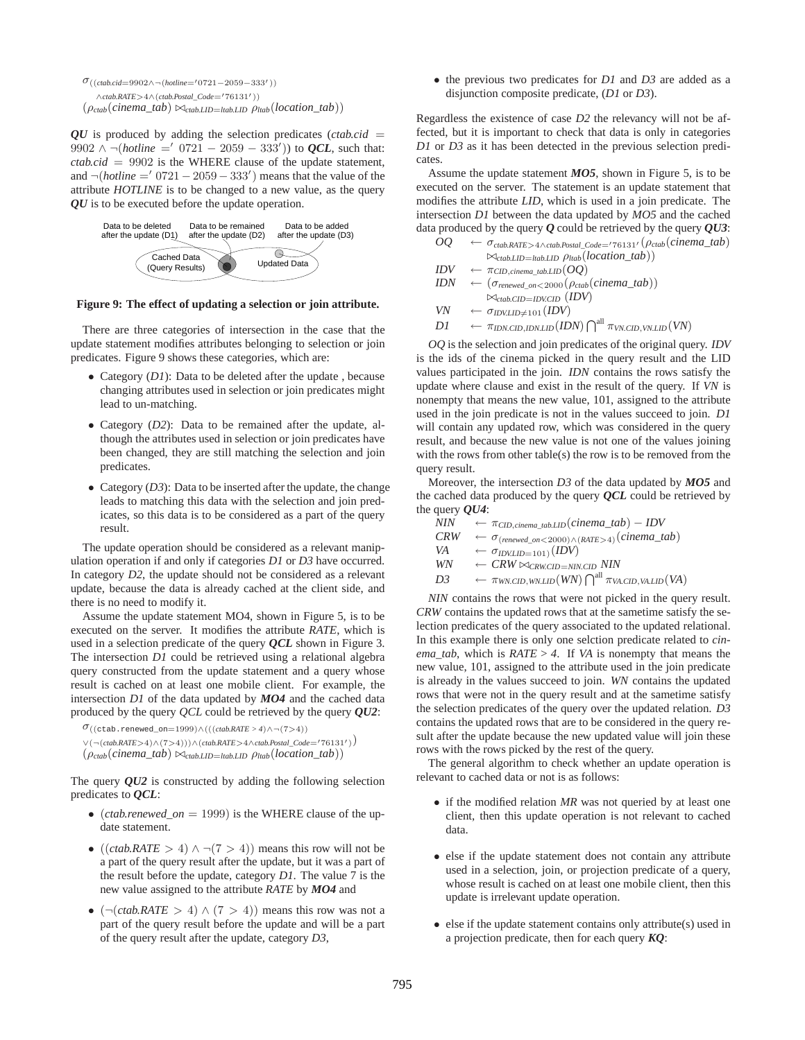```
σ((ctab.cid=9902∧¬(hotline=′0721−2059−333′ ))
```

```
∧ctab.RATE>4∧(ctab.Postal_Code=′76131′ ))
(ρctab(cinema_tab) ⊲⊳ctab.LID=ltab.LID ρltab(location_tab))
```
 $\dot{\rho}$ U is produced by adding the selection predicates (*ctab.cid* =  $\frac{1}{9902} \wedge \neg$  (*hotline* = '0721 – 2059 – 333')) to *QCL*, such that: *ctab.cid* = 9902 is the WHERE clause of the update statement, and  $\neg(hotline =' 0721 - 2059 - 333')$  means that the value of the attribute *HOTLINE* is to be changed to a new value, as the query *QU* is to be executed before the update operation.



#### **Figure 9: The effect of updating a selection or join attribute.**

There are three categories of intersection in the case that the update statement modifies attributes belonging to selection or join predicates. Figure 9 shows these categories, which are:

- Category (*D1*): Data to be deleted after the update , because changing attributes used in selection or join predicates might lead to un-matching.
- Category (*D2*): Data to be remained after the update, although the attributes used in selection or join predicates have been changed, they are still matching the selection and join predicates.
- Category (*D3*): Data to be inserted after the update, the change leads to matching this data with the selection and join predicates, so this data is to be considered as a part of the query result.

The update operation should be considered as a relevant manipulation operation if and only if categories *D1* or *D3* have occurred. In category *D2*, the update should not be considered as a relevant update, because the data is already cached at the client side, and there is no need to modify it.

Assume the update statement MO4, shown in Figure 5, is to be executed on the server. It modifies the attribute *RATE*, which is used in a selection predicate of the query *QCL* shown in Figure 3. The intersection *D1* could be retrieved using a relational algebra query constructed from the update statement and a query whose result is cached on at least one mobile client. For example, the intersection *D1* of the data updated by *MO4* and the cached data produced by the query *QCL* could be retrieved by the query *QU2*:

```
\sigma((ctab.renewed_on=1999)∧(((ctab.RATE > 4)∧¬(7>4))
∨(¬(ctab.RATE>4)∧(7>4)))∧(ctab.RATE>4∧ctab.Postal_Code=′76131′))
(ρctab(cinema_tab) ⊲⊳ctab.LID=ltab.LID ρltab(location_tab))
```
The query *QU2* is constructed by adding the following selection predicates to *QCL*:

- (*ctab.renewed\_on* = 1999) is the WHERE clause of the update statement.
- ((*ctab.RATE* > 4)  $\land \neg (7 > 4)$ ) means this row will not be a part of the query result after the update, but it was a part of the result before the update, category *D1*. The value 7 is the new value assigned to the attribute *RATE* by *MO4* and
- $(\neg (ctab.RATE > 4) \land (7 > 4))$  means this row was not a part of the query result before the update and will be a part of the query result after the update, category *D3*,

• the previous two predicates for *D1* and *D3* are added as a disjunction composite predicate, (*D1* or *D3*).

Regardless the existence of case *D2* the relevancy will not be affected, but it is important to check that data is only in categories *D1* or *D3* as it has been detected in the previous selection predicates.

Assume the update statement *MO5*, shown in Figure 5, is to be executed on the server. The statement is an update statement that modifies the attribute *LID*, which is used in a join predicate. The intersection *D1* between the data updated by *MO5* and the cached data produced by the query *Q* could be retrieved by the query *QU3*:

$$
OQ \leftarrow \sigma_{ctab.RATE > 4 \land ctab.Postal\_Code='76131'} (p_{ctab}(cinema\_tab))
$$
  
\n
$$
\bowtie_{ctab.LID = Itab.LID} p_{ltab} (location\_tab))
$$
  
\n
$$
IDV \leftarrow \pi_{CID, cinema\_tab.LID}(OQ)
$$
  
\n
$$
IDN \leftarrow (\sigma_{renewed\_on <2000} (p_{ctab}(cinema\_tab))
$$
  
\n
$$
\bowtie_{ctab.CID = IDV CID} (IDV)
$$
  
\n
$$
VN \leftarrow \sigma_{IDV.LID \neq 101} (IDV)
$$
  
\n
$$
DI \leftarrow \pi_{IDN.CID,IDN.LID} (IDN) \cap \text{all } \pi_{VN.CID, VN.LID} (VN)
$$

*OQ* is the selection and join predicates of the original query. *IDV* is the ids of the cinema picked in the query result and the LID values participated in the join. *IDN* contains the rows satisfy the update where clause and exist in the result of the query. If *VN* is nonempty that means the new value, 101, assigned to the attribute used in the join predicate is not in the values succeed to join. *D1* will contain any updated row, which was considered in the query result, and because the new value is not one of the values joining with the rows from other table(s) the row is to be removed from the query result.

Moreover, the intersection *D3* of the data updated by *MO5* and the cached data produced by the query *QCL* could be retrieved by the query *QU4*:

$$
NIN \leftarrow \pi_{CID, cinema\_tabLID}(cinema\_tab) - IDV\nCRW \leftarrow \sigma_{(renewed\_on < 2000) \land (RATE > 4)}(cinema\_tab)\nVA \leftarrow \sigma_{IDVLID=101} (IDV)\nWN \leftarrow CRW \bowtie_{CRWCID=NN.CID} NIN\nD3 \leftarrow \pi_{WN.CID, WNLID}(WN) {\left(\begin{smallmatrix} \text{all} \\ \text{all} \end{smallmatrix} \pi_{VA.CID, VALID}(VA)\right)}\right)}
$$

*NIN* contains the rows that were not picked in the query result. *CRW* contains the updated rows that at the sametime satisfy the selection predicates of the query associated to the updated relational. In this example there is only one selction predicate related to *cinema\_tab*, which is *RATE > 4*. If *VA* is nonempty that means the new value, 101, assigned to the attribute used in the join predicate is already in the values succeed to join. *WN* contains the updated rows that were not in the query result and at the sametime satisfy the selection predicates of the query over the updated relation. *D3* contains the updated rows that are to be considered in the query result after the update because the new updated value will join these rows with the rows picked by the rest of the query.

The general algorithm to check whether an update operation is relevant to cached data or not is as follows:

- if the modified relation *MR* was not queried by at least one client, then this update operation is not relevant to cached data.
- else if the update statement does not contain any attribute used in a selection, join, or projection predicate of a query, whose result is cached on at least one mobile client, then this update is irrelevant update operation.
- else if the update statement contains only attribute(s) used in a projection predicate, then for each query *KQ*: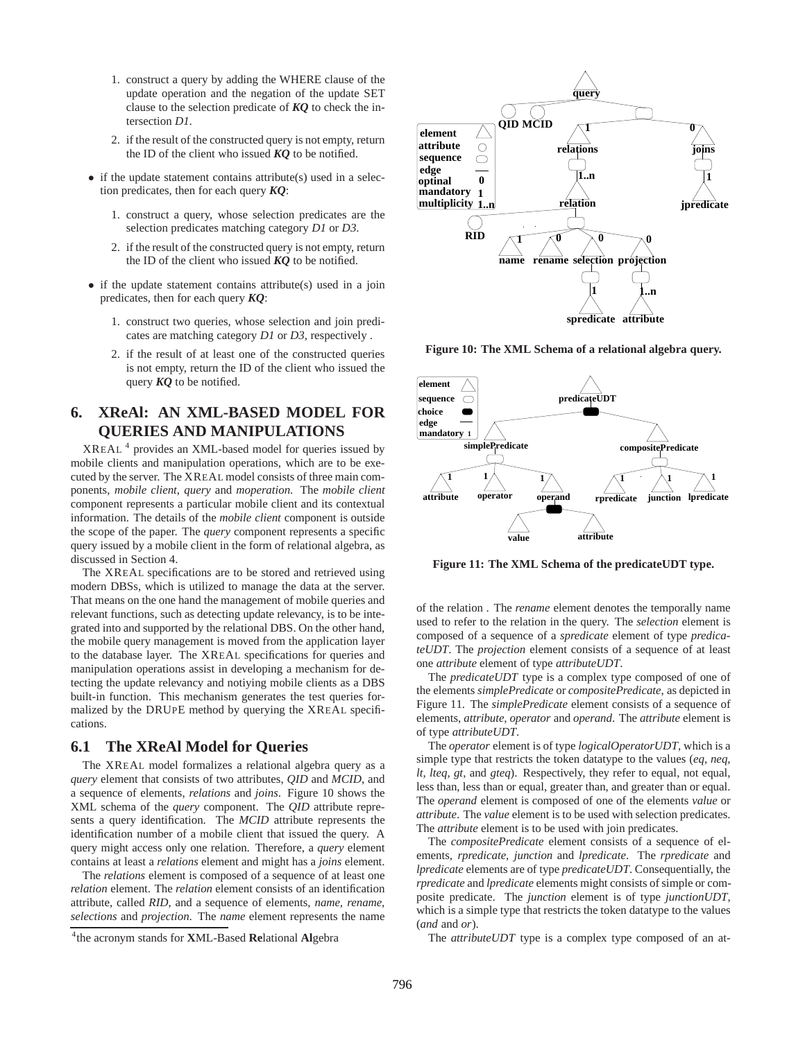- 1. construct a query by adding the WHERE clause of the update operation and the negation of the update SET clause to the selection predicate of *KQ* to check the intersection *D1*.
- 2. if the result of the constructed query is not empty, return the ID of the client who issued *KQ* to be notified.
- if the update statement contains attribute(s) used in a selection predicates, then for each query *KQ*:
	- 1. construct a query, whose selection predicates are the selection predicates matching category *D1* or *D3*.
	- 2. if the result of the constructed query is not empty, return the ID of the client who issued *KQ* to be notified.
- if the update statement contains attribute(s) used in a join predicates, then for each query *KQ*:
	- 1. construct two queries, whose selection and join predicates are matching category *D1* or *D3*, respectively .
	- 2. if the result of at least one of the constructed queries is not empty, return the ID of the client who issued the query *KQ* to be notified.

## **6. XReAl: AN XML-BASED MODEL FOR QUERIES AND MANIPULATIONS**

XREAL 4 provides an XML-based model for queries issued by mobile clients and manipulation operations, which are to be executed by the server. The XREAL model consists of three main components, *mobile client*, *query* and *moperation*. The *mobile client* component represents a particular mobile client and its contextual information. The details of the *mobile client* component is outside the scope of the paper. The *query* component represents a specific query issued by a mobile client in the form of relational algebra, as discussed in Section 4.

The XREAL specifications are to be stored and retrieved using modern DBSs, which is utilized to manage the data at the server. That means on the one hand the management of mobile queries and relevant functions, such as detecting update relevancy, is to be integrated into and supported by the relational DBS. On the other hand, the mobile query management is moved from the application layer to the database layer. The XREAL specifications for queries and manipulation operations assist in developing a mechanism for detecting the update relevancy and notiying mobile clients as a DBS built-in function. This mechanism generates the test queries formalized by the DRUPE method by querying the XREAL specifications.

#### **6.1 The XReAl Model for Queries**

The XREAL model formalizes a relational algebra query as a *query* element that consists of two attributes, *QID* and *MCID*, and a sequence of elements, *relations* and *joins*. Figure 10 shows the XML schema of the *query* component. The *QID* attribute represents a query identification. The *MCID* attribute represents the identification number of a mobile client that issued the query. A query might access only one relation. Therefore, a *query* element contains at least a *relations* element and might has a *joins* element.

The *relations* element is composed of a sequence of at least one *relation* element. The *relation* element consists of an identification attribute, called *RID*, and a sequence of elements, *name, rename, selections* and *projection*. The *name* element represents the name



**Figure 10: The XML Schema of a relational algebra query.**



**Figure 11: The XML Schema of the predicateUDT type.**

of the relation . The *rename* element denotes the temporally name used to refer to the relation in the query. The *selection* element is composed of a sequence of a *spredicate* element of type *predicateUDT*. The *projection* element consists of a sequence of at least one *attribute* element of type *attributeUDT*.

The *predicateUDT* type is a complex type composed of one of the elements *simplePredicate* or *compositePredicate*, as depicted in Figure 11. The *simplePredicate* element consists of a sequence of elements, *attribute, operator* and *operand*. The *attribute* element is of type *attributeUDT*.

The *operator* element is of type *logicalOperatorUDT*, which is a simple type that restricts the token datatype to the values (*eq, neq, lt, lteq, gt,* and *gteq*). Respectively, they refer to equal, not equal, less than, less than or equal, greater than, and greater than or equal. The *operand* element is composed of one of the elements *value* or *attribute*. The *value* element is to be used with selection predicates. The *attribute* element is to be used with join predicates.

The *compositePredicate* element consists of a sequence of elements, *rpredicate, junction* and *lpredicate*. The *rpredicate* and *lpredicate* elements are of type *predicateUDT*. Consequentially, the *rpredicate* and *lpredicate* elements might consists of simple or composite predicate. The *junction* element is of type *junctionUDT*, which is a simple type that restricts the token datatype to the values (*and* and *or*).

The *attributeUDT* type is a complex type composed of an at-

<sup>4</sup> the acronym stands for **X**ML-Based **Re**lational **Al**gebra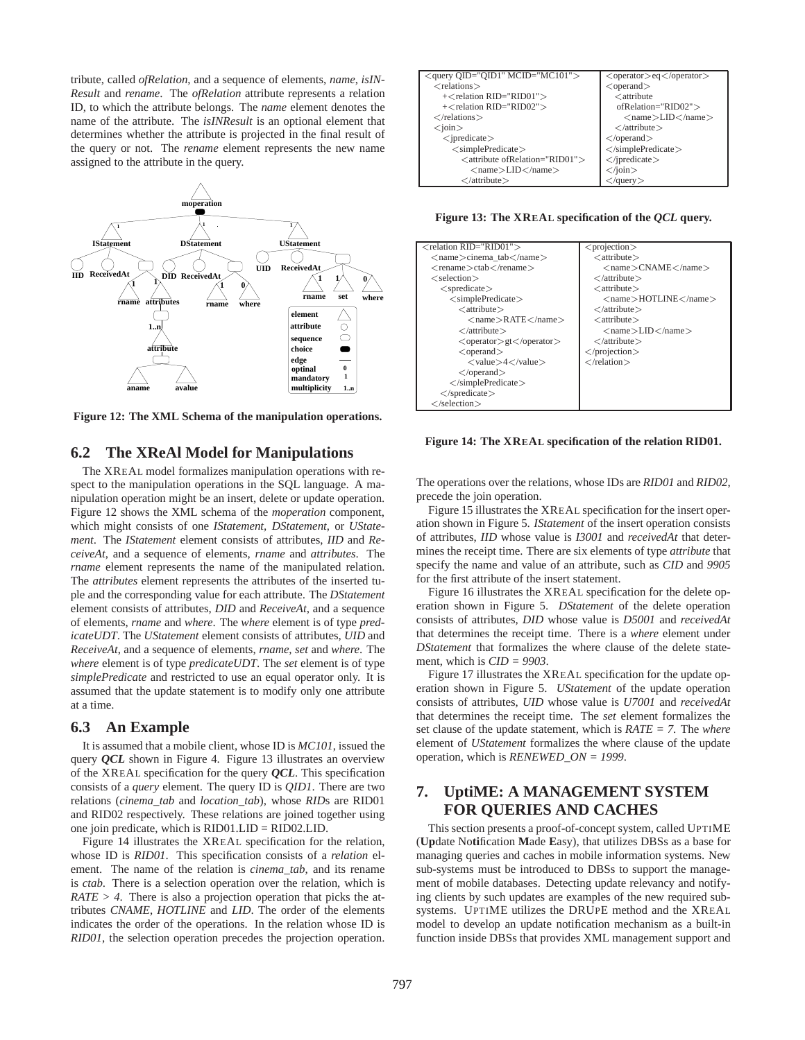tribute, called *ofRelation*, and a sequence of elements, *name*, *isIN-Result* and *rename*. The *ofRelation* attribute represents a relation ID, to which the attribute belongs. The *name* element denotes the name of the attribute. The *isINResult* is an optional element that determines whether the attribute is projected in the final result of the query or not. The *rename* element represents the new name assigned to the attribute in the query.



**Figure 12: The XML Schema of the manipulation operations.**

#### **6.2 The XReAl Model for Manipulations**

The XREAL model formalizes manipulation operations with respect to the manipulation operations in the SQL language. A manipulation operation might be an insert, delete or update operation. Figure 12 shows the XML schema of the *moperation* component, which might consists of one *IStatement, DStatement*, or *UStatement*. The *IStatement* element consists of attributes, *IID* and *ReceiveAt*, and a sequence of elements, *rname* and *attributes*. The *rname* element represents the name of the manipulated relation. The *attributes* element represents the attributes of the inserted tuple and the corresponding value for each attribute. The *DStatement* element consists of attributes, *DID* and *ReceiveAt*, and a sequence of elements, *rname* and *where*. The *where* element is of type *predicateUDT*. The *UStatement* element consists of attributes, *UID* and *ReceiveAt*, and a sequence of elements, *rname, set* and *where*. The *where* element is of type *predicateUDT*. The *set* element is of type *simplePredicate* and restricted to use an equal operator only. It is assumed that the update statement is to modify only one attribute at a time.

#### **6.3 An Example**

It is assumed that a mobile client, whose ID is *MC101*, issued the query *QCL* shown in Figure 4. Figure 13 illustrates an overview of the XREAL specification for the query *QCL*. This specification consists of a *query* element. The query ID is *QID1*. There are two relations (*cinema\_tab* and *location\_tab*), whose *RID*s are RID01 and RID02 respectively. These relations are joined together using one join predicate, which is RID01.LID = RID02.LID.

Figure 14 illustrates the XREAL specification for the relation, whose ID is *RID01*. This specification consists of a *relation* element. The name of the relation is *cinema\_tab*, and its rename is *ctab*. There is a selection operation over the relation, which is *RATE > 4*. There is also a projection operation that picks the attributes *CNAME*, *HOTLINE* and *LID*. The order of the elements indicates the order of the operations. In the relation whose ID is *RID01*, the selection operation precedes the projection operation.



**Figure 13: The XREAL specification of the** *QCL* **query.**

| $\langle$ relation RID="RID01" $>$                            | $<$ projection $>$                                         |
|---------------------------------------------------------------|------------------------------------------------------------|
| $\langle$ name $\rangle$ cinema tab $\langle$ /name $\rangle$ | $<$ attribute $>$                                          |
| $<$ rename $>$ ctab $<$ /rename $>$                           | $\langle$ name $>\rangle$ CNAME $\langle$ /name $>\rangle$ |
| $<$ selection $>$                                             | $\langle$ /attribute $\rangle$                             |
| $<$ spredicate $>$                                            | $\langle$ attribute $\rangle$                              |
| $\langle$ simplePredicate $\rangle$                           | $\langle$ name $>$ HOTLINE $\langle$ /name $>$             |
| $<$ attribute $>$                                             | $\langle$ /attribute $\rangle$                             |
| $<$ name $>$ RATE $<$ /name $>$                               | $<$ attribute $>$                                          |
| $\langle$ attribute $\rangle$                                 | $\langle$ name $>\rangle$ LID $\langle$ /name $>\rangle$   |
| $<$ operator $>$ gt $<$ /operator $>$                         | $\langle$ /attribute $\rangle$                             |
| $<$ operand $>$                                               | $\langle$ /projection $>$                                  |
| $\langle$ value $>4\langle$ /value $>$                        | $\langle$ relation $\rangle$                               |
| $\langle$ /operand $\rangle$                                  |                                                            |
| $\langle$ /simplePredicate $\rangle$                          |                                                            |
| $\langle$ /spredicate $\rangle$                               |                                                            |
| $\langle$ /selection $\rangle$                                |                                                            |

**Figure 14: The XREAL specification of the relation RID01.**

The operations over the relations, whose IDs are *RID01* and *RID02*, precede the join operation.

Figure 15 illustrates the XREAL specification for the insert operation shown in Figure 5. *IStatement* of the insert operation consists of attributes, *IID* whose value is *I3001* and *receivedAt* that determines the receipt time. There are six elements of type *attribute* that specify the name and value of an attribute, such as *CID* and *9905* for the first attribute of the insert statement.

Figure 16 illustrates the XREAL specification for the delete operation shown in Figure 5. *DStatement* of the delete operation consists of attributes, *DID* whose value is *D5001* and *receivedAt* that determines the receipt time. There is a *where* element under *DStatement* that formalizes the where clause of the delete statement, which is *CID = 9903*.

Figure 17 illustrates the XREAL specification for the update operation shown in Figure 5. *UStatement* of the update operation consists of attributes, *UID* whose value is *U7001* and *receivedAt* that determines the receipt time. The *set* element formalizes the set clause of the update statement, which is *RATE = 7*. The *where* element of *UStatement* formalizes the where clause of the update operation, which is *RENEWED\_ON = 1999*.

# **7. UptiME: A MANAGEMENT SYSTEM FOR QUERIES AND CACHES**

This section presents a proof-of-concept system, called UPTIME (**Up**date No**ti**fication **M**ade **E**asy), that utilizes DBSs as a base for managing queries and caches in mobile information systems. New sub-systems must be introduced to DBSs to support the management of mobile databases. Detecting update relevancy and notifying clients by such updates are examples of the new required subsystems. UPTIME utilizes the DRUPE method and the XREAL model to develop an update notification mechanism as a built-in function inside DBSs that provides XML management support and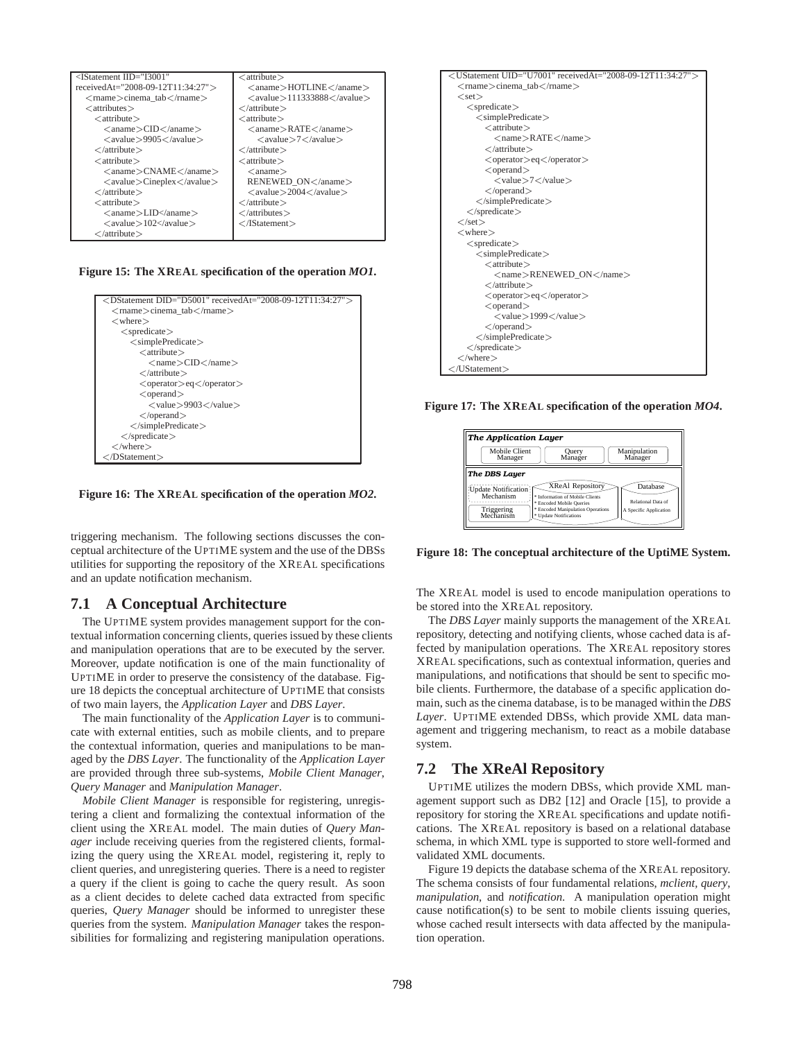| <istatement <="" iid="I3001" td=""><td><math>&lt;</math>attribute<math>&gt;</math></td></istatement> | $<$ attribute $>$                                         |
|------------------------------------------------------------------------------------------------------|-----------------------------------------------------------|
| receivedAt="2008-09-12T11:34:27" >                                                                   | $\langle$ aname $>$ HOTLINE $\langle$ /aname $>$          |
| $<$ mame $>$ cinema tab $<$ /mame $>$                                                                | $\langle$ avalue $>$ 111333888 $\langle$ /avalue $>$      |
| $<$ attributes $>$                                                                                   | $\langle$ attribute $\rangle$                             |
| $<$ attribute $>$                                                                                    | $<$ attribute $>$                                         |
| $\langle$ aname $\rangle$ CID $\langle$ /aname $\rangle$                                             | $\langle$ aname $\rangle$ RATE $\langle$ /aname $\rangle$ |
| $\langle$ avalue $\rangle$ 9905 $\langle$ /avalue $\rangle$                                          | $\langle$ avalue $\rangle$ 7 $\langle$ /avalue $\rangle$  |
| $\langle$ /attribute $\rangle$                                                                       | $\langle$ attribute $\rangle$                             |
| $<$ attribute $>$                                                                                    | $<$ attribute $>$                                         |
| $\langle$ aname $\rangle$ CNAME $\langle$ /aname $\rangle$                                           | $\langle$ aname $\rangle$                                 |
| $\langle$ avalue $\rangle$ Cineplex $\langle$ /avalue $\rangle$                                      | RENEWED ON                                                |
| $\langle$ /attribute $\rangle$                                                                       | $\langle$ avalue $>$ 2004 $\langle$ /avalue $>$           |
| $<$ attribute $>$                                                                                    | $\langle$ attribute $\rangle$                             |
| $\langle$ aname $>$ LID $\langle$ aname $>$                                                          | $\langle$ attributes $>$                                  |
| $\langle$ avalue $>$ 102 $\langle$ /avalue $>$                                                       | $\langle$ /IStatement $\rangle$                           |
| $\langle$ attribute $\rangle$                                                                        |                                                           |

**Figure 15: The XREAL specification of the operation** *MO1***.**



**Figure 16: The XREAL specification of the operation** *MO2***.**

triggering mechanism. The following sections discusses the conceptual architecture of the UPTIME system and the use of the DBSs utilities for supporting the repository of the XREAL specifications and an update notification mechanism.

## **7.1 A Conceptual Architecture**

The UPTIME system provides management support for the contextual information concerning clients, queries issued by these clients and manipulation operations that are to be executed by the server. Moreover, update notification is one of the main functionality of UPTIME in order to preserve the consistency of the database. Figure 18 depicts the conceptual architecture of UPTIME that consists of two main layers, the *Application Layer* and *DBS Layer*.

The main functionality of the *Application Layer* is to communicate with external entities, such as mobile clients, and to prepare the contextual information, queries and manipulations to be managed by the *DBS Layer*. The functionality of the *Application Layer* are provided through three sub-systems, *Mobile Client Manager*, *Query Manager* and *Manipulation Manager*.

*Mobile Client Manager* is responsible for registering, unregistering a client and formalizing the contextual information of the client using the XREAL model. The main duties of *Query Manager* include receiving queries from the registered clients, formalizing the query using the XREAL model, registering it, reply to client queries, and unregistering queries. There is a need to register a query if the client is going to cache the query result. As soon as a client decides to delete cached data extracted from specific queries, *Query Manager* should be informed to unregister these queries from the system. *Manipulation Manager* takes the responsibilities for formalizing and registering manipulation operations.



**Figure 17: The XREAL specification of the operation** *MO4***.**

| The Application Layer                                                        |                                                                                                                                                       |                                                                 |  |
|------------------------------------------------------------------------------|-------------------------------------------------------------------------------------------------------------------------------------------------------|-----------------------------------------------------------------|--|
| Mobile Client<br>Manager                                                     | <b>Query</b><br>Manager                                                                                                                               | Manipulation<br>Manager                                         |  |
| The DBS Layer<br>Update Notification<br>Mechanism<br>Triggering<br>Mechanism | <b>XReAl Repository</b><br>* Information of Mobile Clients<br>* Encoded Mobile Oueries<br>* Encoded Manipulation Operations<br>* Update Notifications | <b>Database</b><br>Relational Data of<br>A Specific Application |  |

**Figure 18: The conceptual architecture of the UptiME System.**

The XREAL model is used to encode manipulation operations to be stored into the XREAL repository.

The *DBS Layer* mainly supports the management of the XREAL repository, detecting and notifying clients, whose cached data is affected by manipulation operations. The XREAL repository stores XREAL specifications, such as contextual information, queries and manipulations, and notifications that should be sent to specific mobile clients. Furthermore, the database of a specific application domain, such as the cinema database, is to be managed within the *DBS Layer*. UPTIME extended DBSs, which provide XML data management and triggering mechanism, to react as a mobile database system.

## **7.2 The XReAl Repository**

UPTIME utilizes the modern DBSs, which provide XML management support such as DB2 [12] and Oracle [15], to provide a repository for storing the XREAL specifications and update notifications. The XREAL repository is based on a relational database schema, in which XML type is supported to store well-formed and validated XML documents.

Figure 19 depicts the database schema of the XREAL repository. The schema consists of four fundamental relations, *mclient, query*, *manipulation*, and *notification*. A manipulation operation might cause notification(s) to be sent to mobile clients issuing queries, whose cached result intersects with data affected by the manipulation operation.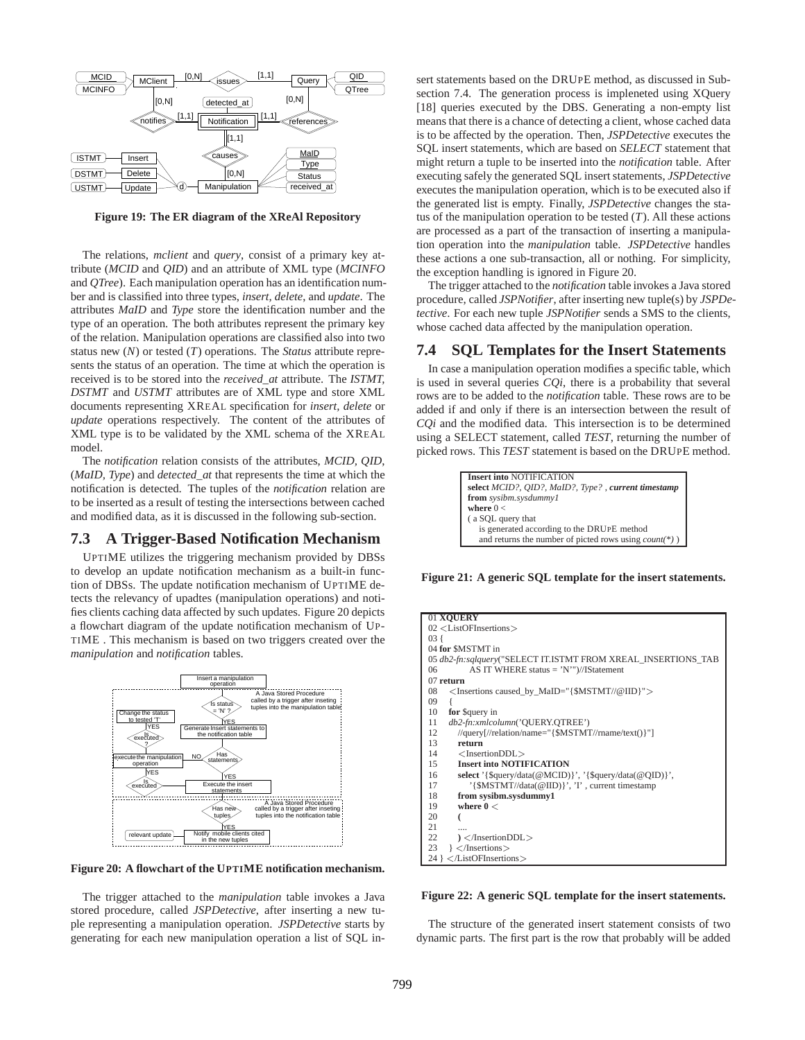

**Figure 19: The ER diagram of the XReAl Repository**

The relations, *mclient* and *query*, consist of a primary key attribute (*MCID* and *QID*) and an attribute of XML type (*MCINFO* and *QTree*). Each manipulation operation has an identification number and is classified into three types, *insert, delete*, and *update*. The attributes *MaID* and *Type* store the identification number and the type of an operation. The both attributes represent the primary key of the relation. Manipulation operations are classified also into two status new (*N*) or tested (*T*) operations. The *Status* attribute represents the status of an operation. The time at which the operation is received is to be stored into the *received\_at* attribute. The *ISTMT, DSTMT* and *USTMT* attributes are of XML type and store XML documents representing XREAL specification for *insert, delete* or *update* operations respectively. The content of the attributes of XML type is to be validated by the XML schema of the XREAL model.

The *notification* relation consists of the attributes, *MCID, QID*, (*MaID, Type*) and *detected\_at* that represents the time at which the notification is detected. The tuples of the *notification* relation are to be inserted as a result of testing the intersections between cached and modified data, as it is discussed in the following sub-section.

#### **7.3 A Trigger-Based Notification Mechanism**

UPTIME utilizes the triggering mechanism provided by DBSs to develop an update notification mechanism as a built-in function of DBSs. The update notification mechanism of UPTIME detects the relevancy of upadtes (manipulation operations) and notifies clients caching data affected by such updates. Figure 20 depicts a flowchart diagram of the update notification mechanism of UP-TIME . This mechanism is based on two triggers created over the *manipulation* and *notification* tables.



**Figure 20: A flowchart of the UPTIME notification mechanism.**

The trigger attached to the *manipulation* table invokes a Java stored procedure, called *JSPDetective*, after inserting a new tuple representing a manipulation operation. *JSPDetective* starts by generating for each new manipulation operation a list of SQL insert statements based on the DRUPE method, as discussed in Subsection 7.4. The generation process is impleneted using XQuery [18] queries executed by the DBS. Generating a non-empty list means that there is a chance of detecting a client, whose cached data is to be affected by the operation. Then, *JSPDetective* executes the SQL insert statements, which are based on *SELECT* statement that might return a tuple to be inserted into the *notification* table. After executing safely the generated SQL insert statements, *JSPDetective* executes the manipulation operation, which is to be executed also if the generated list is empty. Finally, *JSPDetective* changes the status of the manipulation operation to be tested  $(T)$ . All these actions are processed as a part of the transaction of inserting a manipulation operation into the *manipulation* table. *JSPDetective* handles these actions a one sub-transaction, all or nothing. For simplicity, the exception handling is ignored in Figure 20.

The trigger attached to the *notification* table invokes a Java stored procedure, called *JSPNotifier*, after inserting new tuple(s) by *JSPDetective*. For each new tuple *JSPNotifier* sends a SMS to the clients, whose cached data affected by the manipulation operation.

#### **7.4 SQL Templates for the Insert Statements**

In case a manipulation operation modifies a specific table, which is used in several queries *CQi*, there is a probability that several rows are to be added to the *notification* table. These rows are to be added if and only if there is an intersection between the result of *CQi* and the modified data. This intersection is to be determined using a SELECT statement, called *TEST*, returning the number of picked rows. This *TEST* statement is based on the DRUPE method.

```
Insert into NOTIFICATION
select MCID?, QID?, MaID?, Type? , current timestamp
from sysibm.sysdummy1
where 0 <( a SQL query that
   is generated according to the DRUPE method
   and returns the number of picted rows using count(*)
```
**Figure 21: A generic SQL template for the insert statements.**

| 01 XOUERY                                                         |  |  |  |
|-------------------------------------------------------------------|--|--|--|
| 02 <listofinsertions></listofinsertions>                          |  |  |  |
| $03 \{$                                                           |  |  |  |
| 04 for SMSTMT in                                                  |  |  |  |
| 05 db2-fn:sqlquery("SELECT IT.ISTMT FROM XREAL_INSERTIONS_TAB     |  |  |  |
| AS IT WHERE status $=$ 'N'")//IStatement<br>06                    |  |  |  |
| 07 return                                                         |  |  |  |
| <insertions caused_by_maid="{\$MSTMT//@IID}"><br/>08</insertions> |  |  |  |
| 09                                                                |  |  |  |
| 10<br>for \$query in                                              |  |  |  |
| db2-fn:xmlcolumn('OUERY.OTREE')<br>11                             |  |  |  |
| //query[//relation/name="{\$MSTMT//rname/text()}"]<br>12          |  |  |  |
| 13<br>return                                                      |  |  |  |
| 14<br>$<$ InsertionDDL $>$                                        |  |  |  |
| <b>Insert into NOTIFICATION</b><br>15                             |  |  |  |
| select '{\$query/data(@MCID)}', '{\$query/data(@QID)}',<br>16     |  |  |  |
| '{\$MSTMT//data(@IID)}', 'I', current timestamp<br>17             |  |  |  |
| from sysibm.sysdummy1<br>18                                       |  |  |  |
| where $0 <$<br>19                                                 |  |  |  |
| 20                                                                |  |  |  |
| 21<br>                                                            |  |  |  |
| 22<br>$)$                                                         |  |  |  |
| 23<br>$\}$                                                        |  |  |  |
| $24$ $\leq$ /ListOFInsertions>                                    |  |  |  |
|                                                                   |  |  |  |

**Figure 22: A generic SQL template for the insert statements.**

The structure of the generated insert statement consists of two dynamic parts. The first part is the row that probably will be added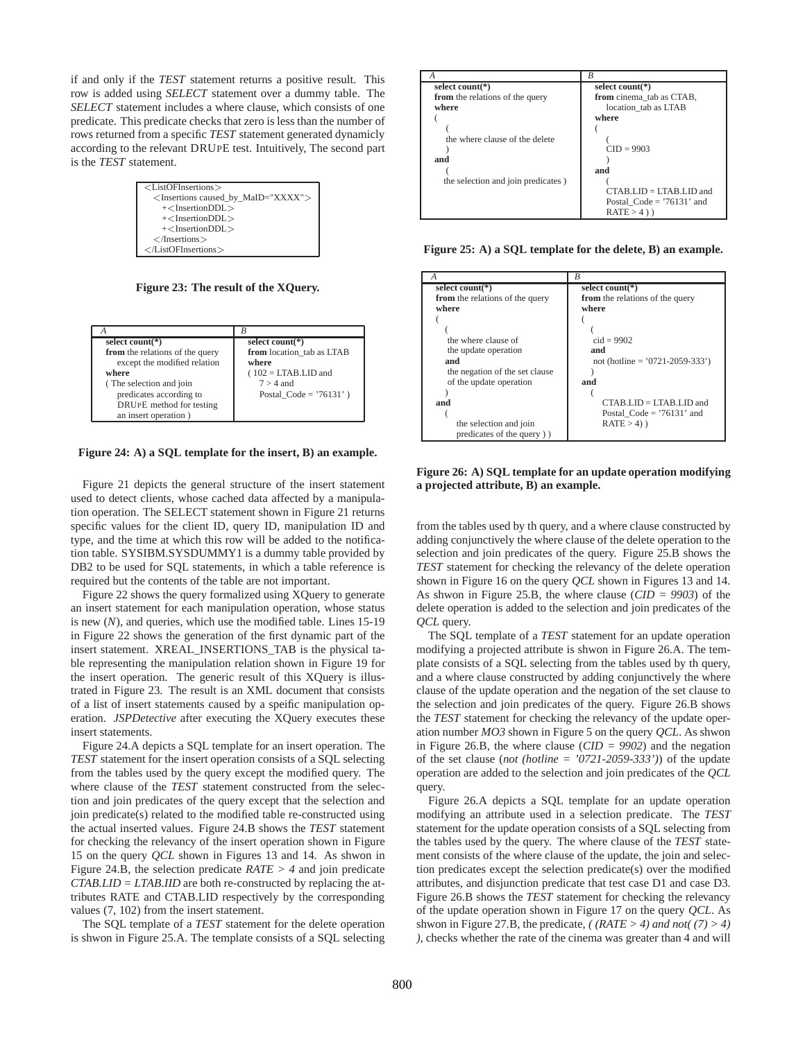if and only if the *TEST* statement returns a positive result. This row is added using *SELECT* statement over a dummy table. The *SELECT* statement includes a where clause, which consists of one predicate. This predicate checks that zero is less than the number of rows returned from a specific *TEST* statement generated dynamicly according to the relevant DRUPE test. Intuitively, The second part is the *TEST* statement.

| $\langle$ ListOFInsertions $\rangle$            |
|-------------------------------------------------|
| <insertions caused_by_maid="XXXX"></insertions> |
| $+$ < Insertion DDL >                           |
| $+$ < Insertion DDL >                           |
| $+$ < Insertion DDL >                           |
| $<$ /Insertions >                               |
| $\langle$ ListOFInsertions>                     |

**Figure 23: The result of the XQuery.**



**Figure 24: A) a SQL template for the insert, B) an example.**

Figure 21 depicts the general structure of the insert statement used to detect clients, whose cached data affected by a manipulation operation. The SELECT statement shown in Figure 21 returns specific values for the client ID, query ID, manipulation ID and type, and the time at which this row will be added to the notification table. SYSIBM.SYSDUMMY1 is a dummy table provided by DB2 to be used for SQL statements, in which a table reference is required but the contents of the table are not important.

Figure 22 shows the query formalized using XQuery to generate an insert statement for each manipulation operation, whose status is new (*N*), and queries, which use the modified table. Lines 15-19 in Figure 22 shows the generation of the first dynamic part of the insert statement. XREAL\_INSERTIONS\_TAB is the physical table representing the manipulation relation shown in Figure 19 for the insert operation. The generic result of this XQuery is illustrated in Figure 23. The result is an XML document that consists of a list of insert statements caused by a speific manipulation operation. *JSPDetective* after executing the XQuery executes these insert statements.

Figure 24.A depicts a SQL template for an insert operation. The *TEST* statement for the insert operation consists of a SQL selecting from the tables used by the query except the modified query. The where clause of the *TEST* statement constructed from the selection and join predicates of the query except that the selection and join predicate(s) related to the modified table re-constructed using the actual inserted values. Figure 24.B shows the *TEST* statement for checking the relevancy of the insert operation shown in Figure 15 on the query *QCL* shown in Figures 13 and 14. As shwon in Figure 24.B, the selection predicate *RATE > 4* and join predicate *CTAB.LID = LTAB.IID* are both re-constructed by replacing the attributes RATE and CTAB.LID respectively by the corresponding values (7, 102) from the insert statement.

The SQL template of a *TEST* statement for the delete operation is shwon in Figure 25.A. The template consists of a SQL selecting



**Figure 25: A) a SQL template for the delete, B) an example.**

|                                 | R                                  |
|---------------------------------|------------------------------------|
| select count $(*)$              | select count $(*)$                 |
| from the relations of the query | from the relations of the query    |
| where                           | where                              |
|                                 |                                    |
|                                 |                                    |
| the where clause of             | $cid = 9902$                       |
| the update operation            | and                                |
| and                             | not (hotline = $'0721-2059-333'$ ) |
| the negation of the set clause  |                                    |
| of the update operation         | and                                |
|                                 |                                    |
| and                             | $CTAB.LID = LTAB.LID$ and          |
|                                 | Postal Code = $'76131'$ and        |
| the selection and join          | $RATE > 4)$ )                      |
| predicates of the query)        |                                    |

**Figure 26: A) SQL template for an update operation modifying a projected attribute, B) an example.**

from the tables used by th query, and a where clause constructed by adding conjunctively the where clause of the delete operation to the selection and join predicates of the query. Figure 25.B shows the *TEST* statement for checking the relevancy of the delete operation shown in Figure 16 on the query *QCL* shown in Figures 13 and 14. As shwon in Figure 25.B, the where clause (*CID = 9903*) of the delete operation is added to the selection and join predicates of the *QCL* query.

The SQL template of a *TEST* statement for an update operation modifying a projected attribute is shwon in Figure 26.A. The template consists of a SQL selecting from the tables used by th query, and a where clause constructed by adding conjunctively the where clause of the update operation and the negation of the set clause to the selection and join predicates of the query. Figure 26.B shows the *TEST* statement for checking the relevancy of the update operation number *MO3* shown in Figure 5 on the query *QCL*. As shwon in Figure 26.B, the where clause (*CID = 9902*) and the negation of the set clause (*not (hotline = '0721-2059-333')*) of the update operation are added to the selection and join predicates of the *QCL* query.

Figure 26.A depicts a SQL template for an update operation modifying an attribute used in a selection predicate. The *TEST* statement for the update operation consists of a SQL selecting from the tables used by the query. The where clause of the *TEST* statement consists of the where clause of the update, the join and selection predicates except the selection predicate(s) over the modified attributes, and disjunction predicate that test case D1 and case D3. Figure 26.B shows the *TEST* statement for checking the relevancy of the update operation shown in Figure 17 on the query *QCL*. As shwon in Figure 27.B, the predicate,  $((RATE > 4)$  and not $((7) > 4)$ *)*, checks whether the rate of the cinema was greater than 4 and will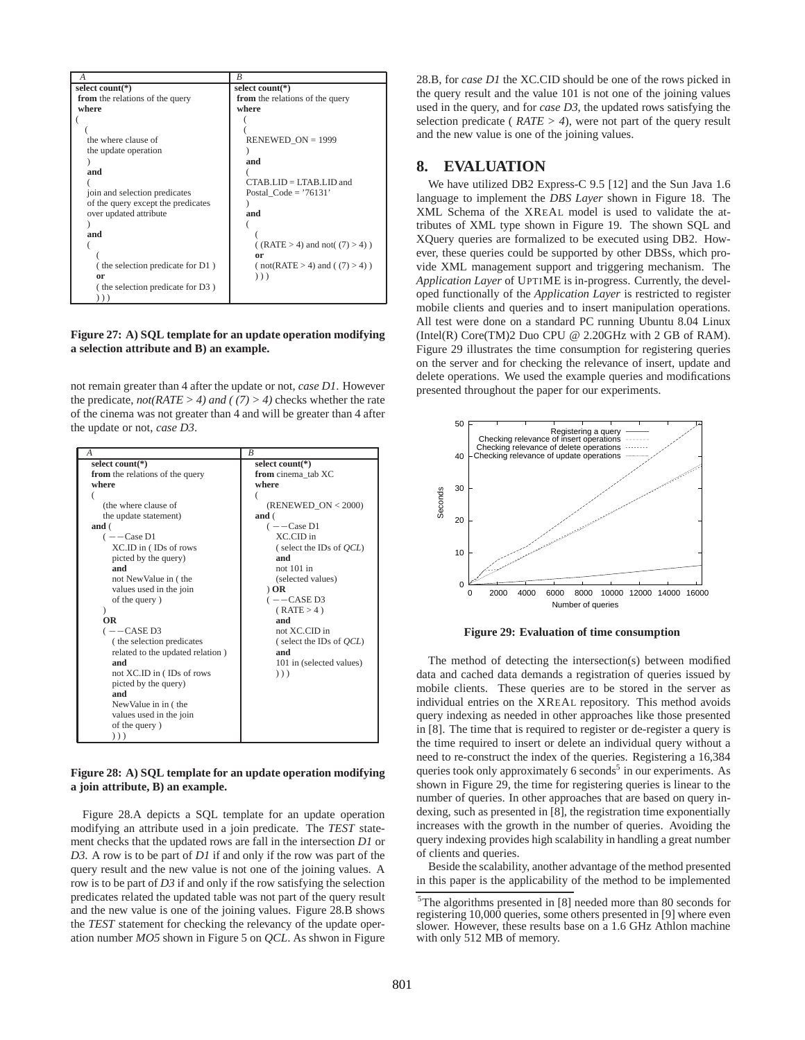

**Figure 27: A) SQL template for an update operation modifying a selection attribute and B) an example.**

not remain greater than 4 after the update or not, *case D1*. However the predicate,  $not(RATE > 4)$  and ((7) > 4) checks whether the rate of the cinema was not greater than 4 and will be greater than 4 after the update or not, *case D3*.



**Figure 28: A) SQL template for an update operation modifying a join attribute, B) an example.**

Figure 28.A depicts a SQL template for an update operation modifying an attribute used in a join predicate. The *TEST* statement checks that the updated rows are fall in the intersection *D1* or *D3*. A row is to be part of *D1* if and only if the row was part of the query result and the new value is not one of the joining values. A row is to be part of *D3* if and only if the row satisfying the selection predicates related the updated table was not part of the query result and the new value is one of the joining values. Figure 28.B shows the *TEST* statement for checking the relevancy of the update operation number *MO5* shown in Figure 5 on *QCL*. As shwon in Figure

28.B, for *case D1* the XC.CID should be one of the rows picked in the query result and the value 101 is not one of the joining values used in the query, and for *case D3*, the updated rows satisfying the selection predicate ( $RATE > 4$ ), were not part of the query result and the new value is one of the joining values.

## **8. EVALUATION**

We have utilized DB2 Express-C 9.5 [12] and the Sun Java 1.6 language to implement the *DBS Layer* shown in Figure 18. The XML Schema of the XREAL model is used to validate the attributes of XML type shown in Figure 19. The shown SQL and XQuery queries are formalized to be executed using DB2. However, these queries could be supported by other DBSs, which provide XML management support and triggering mechanism. The *Application Layer* of UPTIME is in-progress. Currently, the developed functionally of the *Application Layer* is restricted to register mobile clients and queries and to insert manipulation operations. All test were done on a standard PC running Ubuntu 8.04 Linux (Intel(R) Core(TM)2 Duo CPU @ 2.20GHz with 2 GB of RAM). Figure 29 illustrates the time consumption for registering queries on the server and for checking the relevance of insert, update and delete operations. We used the example queries and modifications presented throughout the paper for our experiments.



**Figure 29: Evaluation of time consumption**

The method of detecting the intersection(s) between modified data and cached data demands a registration of queries issued by mobile clients. These queries are to be stored in the server as individual entries on the XREAL repository. This method avoids query indexing as needed in other approaches like those presented in [8]. The time that is required to register or de-register a query is the time required to insert or delete an individual query without a need to re-construct the index of the queries. Registering a 16,384 queries took only approximately 6 seconds<sup>5</sup> in our experiments. As shown in Figure 29, the time for registering queries is linear to the number of queries. In other approaches that are based on query indexing, such as presented in [8], the registration time exponentially increases with the growth in the number of queries. Avoiding the query indexing provides high scalability in handling a great number of clients and queries.

Beside the scalability, another advantage of the method presented in this paper is the applicability of the method to be implemented

<sup>5</sup>The algorithms presented in [8] needed more than 80 seconds for registering 10,000 queries, some others presented in [9] where even slower. However, these results base on a 1.6 GHz Athlon machine with only 512 MB of memory.